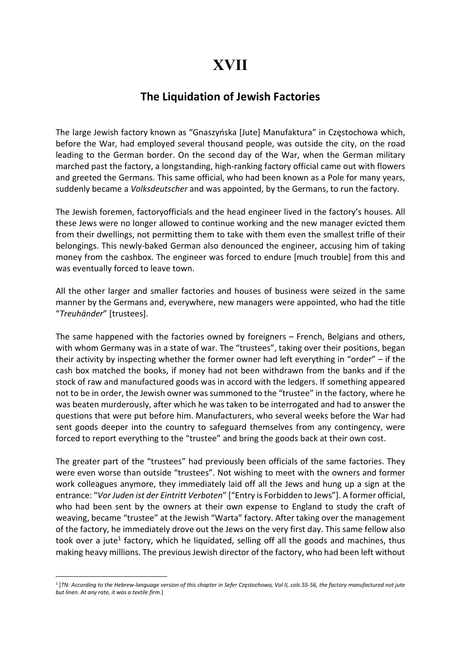## XVII

## The Liquidation of Jewish Factories

The large Jewish factory known as "Gnaszyńska [Jute] Manufaktura" in Częstochowa which, before the War, had employed several thousand people, was outside the city, on the road leading to the German border. On the second day of the War, when the German military marched past the factory, a longstanding, high-ranking factory official came out with flowers and greeted the Germans. This same official, who had been known as a Pole for many years, suddenly became a *Volksdeutscher* and was appointed, by the Germans, to run the factory.

The Jewish foremen, factoryofficials and the head engineer lived in the factory's houses. All these Jews were no longer allowed to continue working and the new manager evicted them from their dwellings, not permitting them to take with them even the smallest trifle of their belongings. This newly-baked German also denounced the engineer, accusing him of taking money from the cashbox. The engineer was forced to endure [much trouble] from this and was eventually forced to leave town.

All the other larger and smaller factories and houses of business were seized in the same manner by the Germans and, everywhere, new managers were appointed, who had the title "Treuhänder" [trustees].

The same happened with the factories owned by foreigners – French, Belgians and others, with whom Germany was in a state of war. The "trustees", taking over their positions, began their activity by inspecting whether the former owner had left everything in "order" – if the cash box matched the books, if money had not been withdrawn from the banks and if the stock of raw and manufactured goods was in accord with the ledgers. If something appeared not to be in order, the Jewish owner was summoned to the "trustee" in the factory, where he was beaten murderously, after which he was taken to be interrogated and had to answer the questions that were put before him. Manufacturers, who several weeks before the War had sent goods deeper into the country to safeguard themselves from any contingency, were forced to report everything to the "trustee" and bring the goods back at their own cost.

The greater part of the "trustees" had previously been officials of the same factories. They were even worse than outside "trustees". Not wishing to meet with the owners and former work colleagues anymore, they immediately laid off all the Jews and hung up a sign at the entrance: "Vor Juden ist der Eintritt Verboten" ["Entry is Forbidden to Jews"]. A former official, who had been sent by the owners at their own expense to England to study the craft of weaving, became "trustee" at the Jewish "Warta" factory. After taking over the management of the factory, he immediately drove out the Jews on the very first day. This same fellow also took over a jute<sup>1</sup> factory, which he liquidated, selling off all the goods and machines, thus making heavy millions. The previous Jewish director of the factory, who had been left without

<sup>1</sup> [TN: According to the Hebrew-language version of this chapter in Sefer Częstochowa, Vol II, cols.55-56, the factory manufactured not jute but linen. At any rate, it was a textile firm.]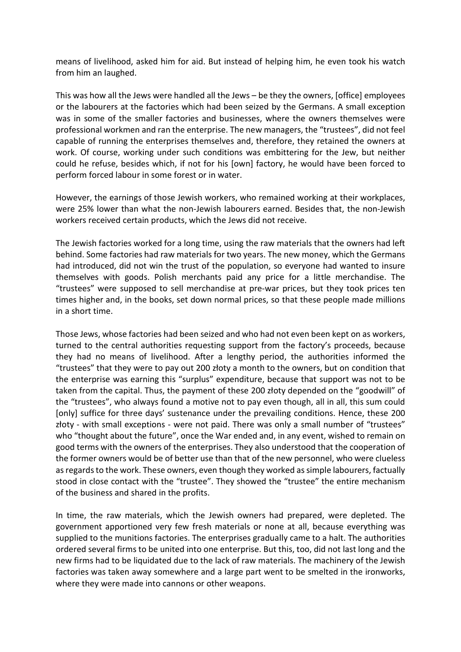means of livelihood, asked him for aid. But instead of helping him, he even took his watch from him an laughed.

This was how all the Jews were handled all the Jews – be they the owners, [office] employees or the labourers at the factories which had been seized by the Germans. A small exception was in some of the smaller factories and businesses, where the owners themselves were professional workmen and ran the enterprise. The new managers, the "trustees", did not feel capable of running the enterprises themselves and, therefore, they retained the owners at work. Of course, working under such conditions was embittering for the Jew, but neither could he refuse, besides which, if not for his [own] factory, he would have been forced to perform forced labour in some forest or in water.

However, the earnings of those Jewish workers, who remained working at their workplaces, were 25% lower than what the non-Jewish labourers earned. Besides that, the non-Jewish workers received certain products, which the Jews did not receive.

The Jewish factories worked for a long time, using the raw materials that the owners had left behind. Some factories had raw materials for two years. The new money, which the Germans had introduced, did not win the trust of the population, so everyone had wanted to insure themselves with goods. Polish merchants paid any price for a little merchandise. The "trustees" were supposed to sell merchandise at pre-war prices, but they took prices ten times higher and, in the books, set down normal prices, so that these people made millions in a short time.

Those Jews, whose factories had been seized and who had not even been kept on as workers, turned to the central authorities requesting support from the factory's proceeds, because they had no means of livelihood. After a lengthy period, the authorities informed the "trustees" that they were to pay out 200 złoty a month to the owners, but on condition that the enterprise was earning this "surplus" expenditure, because that support was not to be taken from the capital. Thus, the payment of these 200 złoty depended on the "goodwill" of the "trustees", who always found a motive not to pay even though, all in all, this sum could [only] suffice for three days' sustenance under the prevailing conditions. Hence, these 200 złoty - with small exceptions - were not paid. There was only a small number of "trustees" who "thought about the future", once the War ended and, in any event, wished to remain on good terms with the owners of the enterprises. They also understood that the cooperation of the former owners would be of better use than that of the new personnel, who were clueless as regards to the work. These owners, even though they worked as simple labourers, factually stood in close contact with the "trustee". They showed the "trustee" the entire mechanism of the business and shared in the profits.

In time, the raw materials, which the Jewish owners had prepared, were depleted. The government apportioned very few fresh materials or none at all, because everything was supplied to the munitions factories. The enterprises gradually came to a halt. The authorities ordered several firms to be united into one enterprise. But this, too, did not last long and the new firms had to be liquidated due to the lack of raw materials. The machinery of the Jewish factories was taken away somewhere and a large part went to be smelted in the ironworks, where they were made into cannons or other weapons.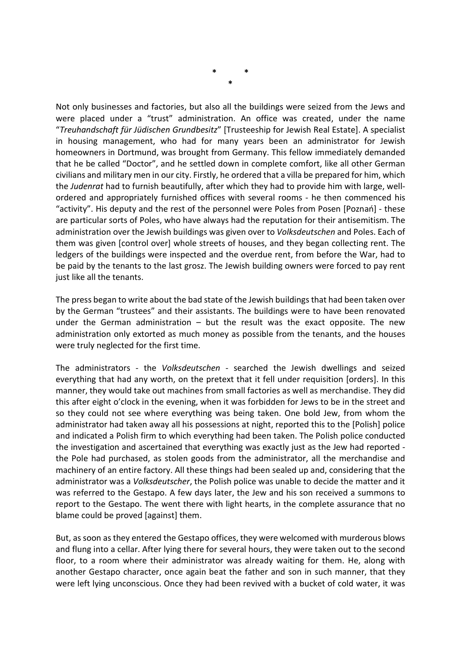Not only businesses and factories, but also all the buildings were seized from the Jews and were placed under a "trust" administration. An office was created, under the name "Treuhandschaft für Jüdischen Grundbesitz" [Trusteeship for Jewish Real Estate]. A specialist in housing management, who had for many years been an administrator for Jewish homeowners in Dortmund, was brought from Germany. This fellow immediately demanded that he be called "Doctor", and he settled down in complete comfort, like all other German civilians and military men in our city. Firstly, he ordered that a villa be prepared for him, which the *Judenrat* had to furnish beautifully, after which they had to provide him with large, wellordered and appropriately furnished offices with several rooms - he then commenced his "activity". His deputy and the rest of the personnel were Poles from Posen [Poznań] - these are particular sorts of Poles, who have always had the reputation for their antisemitism. The administration over the Jewish buildings was given over to Volksdeutschen and Poles. Each of them was given [control over] whole streets of houses, and they began collecting rent. The ledgers of the buildings were inspected and the overdue rent, from before the War, had to be paid by the tenants to the last grosz. The Jewish building owners were forced to pay rent just like all the tenants.

The press began to write about the bad state of the Jewish buildings that had been taken over by the German "trustees" and their assistants. The buildings were to have been renovated under the German administration  $-$  but the result was the exact opposite. The new administration only extorted as much money as possible from the tenants, and the houses were truly neglected for the first time.

The administrators - the Volksdeutschen - searched the Jewish dwellings and seized everything that had any worth, on the pretext that it fell under requisition [orders]. In this manner, they would take out machines from small factories as well as merchandise. They did this after eight o'clock in the evening, when it was forbidden for Jews to be in the street and so they could not see where everything was being taken. One bold Jew, from whom the administrator had taken away all his possessions at night, reported this to the [Polish] police and indicated a Polish firm to which everything had been taken. The Polish police conducted the investigation and ascertained that everything was exactly just as the Jew had reported the Pole had purchased, as stolen goods from the administrator, all the merchandise and machinery of an entire factory. All these things had been sealed up and, considering that the administrator was a *Volksdeutscher*, the Polish police was unable to decide the matter and it was referred to the Gestapo. A few days later, the Jew and his son received a summons to report to the Gestapo. The went there with light hearts, in the complete assurance that no blame could be proved [against] them.

But, as soon as they entered the Gestapo offices, they were welcomed with murderous blows and flung into a cellar. After lying there for several hours, they were taken out to the second floor, to a room where their administrator was already waiting for them. He, along with another Gestapo character, once again beat the father and son in such manner, that they were left lying unconscious. Once they had been revived with a bucket of cold water, it was

\* \* \*